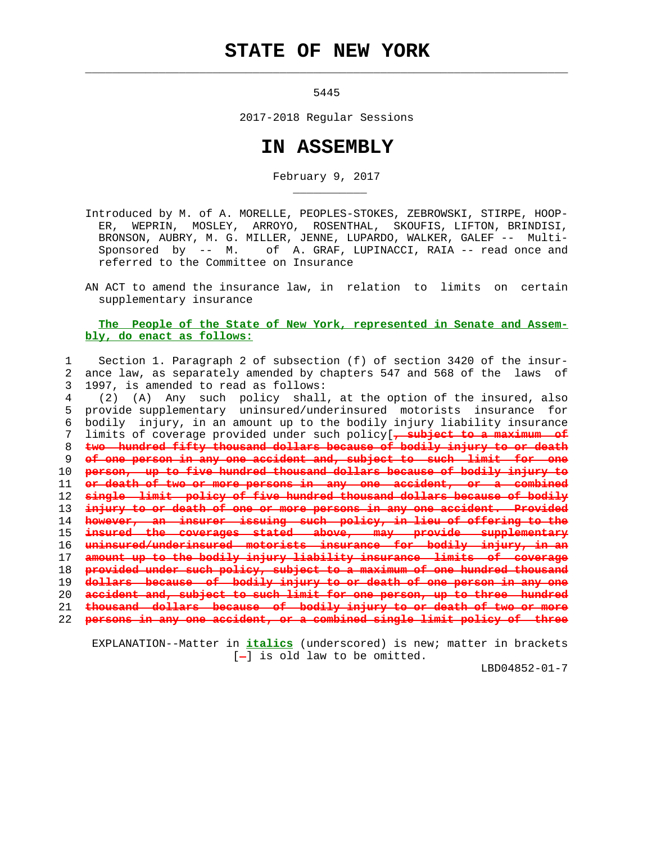## **STATE OF NEW YORK**

5445

 $\mathcal{L}_\text{max} = \frac{1}{2} \sum_{i=1}^{n} \frac{1}{2} \sum_{i=1}^{n} \frac{1}{2} \sum_{i=1}^{n} \frac{1}{2} \sum_{i=1}^{n} \frac{1}{2} \sum_{i=1}^{n} \frac{1}{2} \sum_{i=1}^{n} \frac{1}{2} \sum_{i=1}^{n} \frac{1}{2} \sum_{i=1}^{n} \frac{1}{2} \sum_{i=1}^{n} \frac{1}{2} \sum_{i=1}^{n} \frac{1}{2} \sum_{i=1}^{n} \frac{1}{2} \sum_{i=1}^{n} \frac{1$ 

\_\_\_\_\_\_\_\_\_\_\_

2017-2018 Regular Sessions

## **IN ASSEMBLY**

February 9, 2017

 Introduced by M. of A. MORELLE, PEOPLES-STOKES, ZEBROWSKI, STIRPE, HOOP- ER, WEPRIN, MOSLEY, ARROYO, ROSENTHAL, SKOUFIS, LIFTON, BRINDISI, BRONSON, AUBRY, M. G. MILLER, JENNE, LUPARDO, WALKER, GALEF -- Multi- Sponsored by -- M. of A. GRAF, LUPINACCI, RAIA -- read once and referred to the Committee on Insurance

 AN ACT to amend the insurance law, in relation to limits on certain supplementary insurance

## **The People of the State of New York, represented in Senate and Assem bly, do enact as follows:**

 1 Section 1. Paragraph 2 of subsection (f) of section 3420 of the insur- 2 ance law, as separately amended by chapters 547 and 568 of the laws of 3 1997, is amended to read as follows:

 4 (2) (A) Any such policy shall, at the option of the insured, also 5 provide supplementary uninsured/underinsured motorists insurance for 6 bodily injury, in an amount up to the bodily injury liability insurance 7 limits of coverage provided under such policy[**, subject to a maximum of two hundred fifty thousand dollars because of bodily injury to or death of one person in any one accident and, subject to such limit for one person, up to five hundred thousand dollars because of bodily injury to or death of two or more persons in any one accident, single limit policy of five hundred thousand dollars because of bodily injury to or death of one or more persons in any one accident. Provided however, an insurer issuing such policy, in lieu of offering to the insured the coverages stated above, may provide supplementary uninsured/underinsured motorists insurance for bodily injury, in an amount up to the bodily injury liability insurance limits of coverage provided under such policy, subject to a maximum of one hundred thousand dollars because of bodily injury to or death of one person in any one accident and, subject to such limit for one person, up to three hundred thousand dollars because of bodily injury to or death of two or more persons in any one accident, or a combined single limit policy of three**

 EXPLANATION--Matter in **italics** (underscored) is new; matter in brackets  $[-]$  is old law to be omitted.

LBD04852-01-7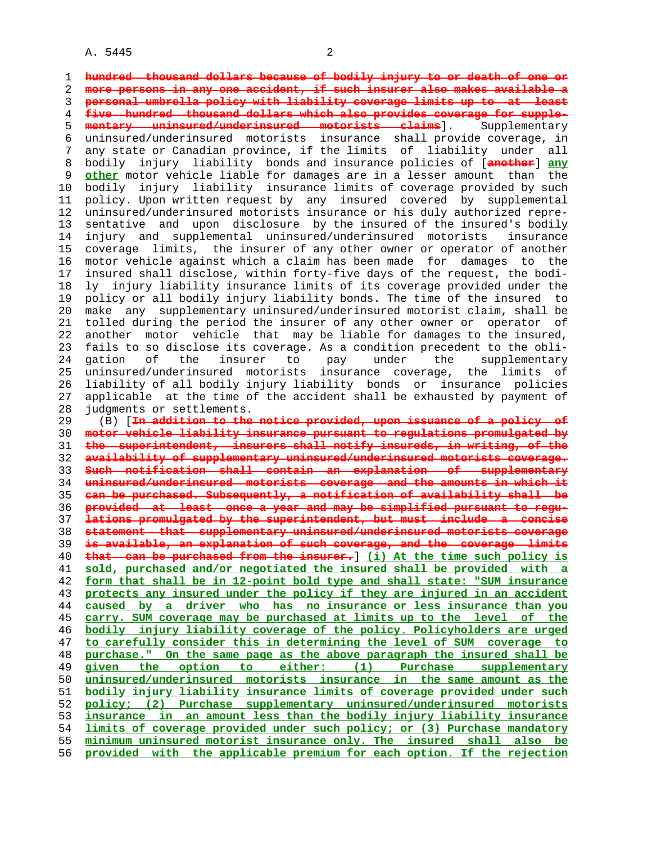A. 5445 2

 1 **hundred thousand dollars because of bodily injury to or death of one or** 2 **more persons in any one accident, if such insurer also makes available a** 3 **personal umbrella policy with liability coverage limits up to at least** 4 **five hundred thousand dollars which also provides coverage for supple-** 5 **mentary uninsured/underinsured motorists claims**]. Supplementary 6 uninsured/underinsured motorists insurance shall provide coverage, in 7 any state or Canadian province, if the limits of liability under all 8 bodily injury liability bonds and insurance policies of [**another**] **any** 9 **other** motor vehicle liable for damages are in a lesser amount than the 10 bodily injury liability insurance limits of coverage provided by such 11 policy. Upon written request by any insured covered by supplemental 12 uninsured/underinsured motorists insurance or his duly authorized repre- 13 sentative and upon disclosure by the insured of the insured's bodily 14 injury and supplemental uninsured/underinsured motorists insurance 15 coverage limits, the insurer of any other owner or operator of another 16 motor vehicle against which a claim has been made for damages to the 17 insured shall disclose, within forty-five days of the request, the bodi- 18 ly injury liability insurance limits of its coverage provided under the 19 policy or all bodily injury liability bonds. The time of the insured to 20 make any supplementary uninsured/underinsured motorist claim, shall be 21 tolled during the period the insurer of any other owner or operator of 22 another motor vehicle that may be liable for damages to the insured, 23 fails to so disclose its coverage. As a condition precedent to the obli- 24 gation of the insurer to pay under the supplementary 25 uninsured/underinsured motorists insurance coverage, the limits of 26 liability of all bodily injury liability bonds or insurance policies 27 applicable at the time of the accident shall be exhausted by payment of 28 judgments or settlements. 29 (B) [**In addition to the notice provided, upon issuance of a policy of** 30 **motor vehicle liability insurance pursuant to regulations promulgated by** 31 **the superintendent, insurers shall notify insureds, in writing, of the** 32 **availability of supplementary uninsured/underinsured motorists coverage.** 33 **Such notification shall contain an explanation of supplementary** 34 **uninsured/underinsured motorists coverage and the amounts in which it** 35 **can be purchased. Subsequently, a notification of availability shall be** 36 **provided at least once a year and may be simplified pursuant to regu-** 37 **lations promulgated by the superintendent, but must include a concise** 38 **statement that supplementary uninsured/underinsured motorists coverage** 39 **is available, an explanation of such coverage, and the coverage limits** 40 **that can be purchased from the insurer.**] **(i) At the time such policy is** 41 **sold, purchased and/or negotiated the insured shall be provided with a** 42 **form that shall be in 12-point bold type and shall state: "SUM insurance** 43 **protects any insured under the policy if they are injured in an accident** 44 **caused by a driver who has no insurance or less insurance than you** 45 **carry. SUM coverage may be purchased at limits up to the level of the** 46 **bodily injury liability coverage of the policy. Policyholders are urged** 47 **to carefully consider this in determining the level of SUM coverage to** 48 **purchase." On the same page as the above paragraph the insured shall be** 49 **given the option to either: (1) Purchase supplementary** 50 **uninsured/underinsured motorists insurance in the same amount as the** 51 **bodily injury liability insurance limits of coverage provided under such** 52 **policy; (2) Purchase supplementary uninsured/underinsured motorists** 53 **insurance in an amount less than the bodily injury liability insurance** 54 **limits of coverage provided under such policy; or (3) Purchase mandatory** 55 **minimum uninsured motorist insurance only. The insured shall also be** 56 **provided with the applicable premium for each option. If the rejection**